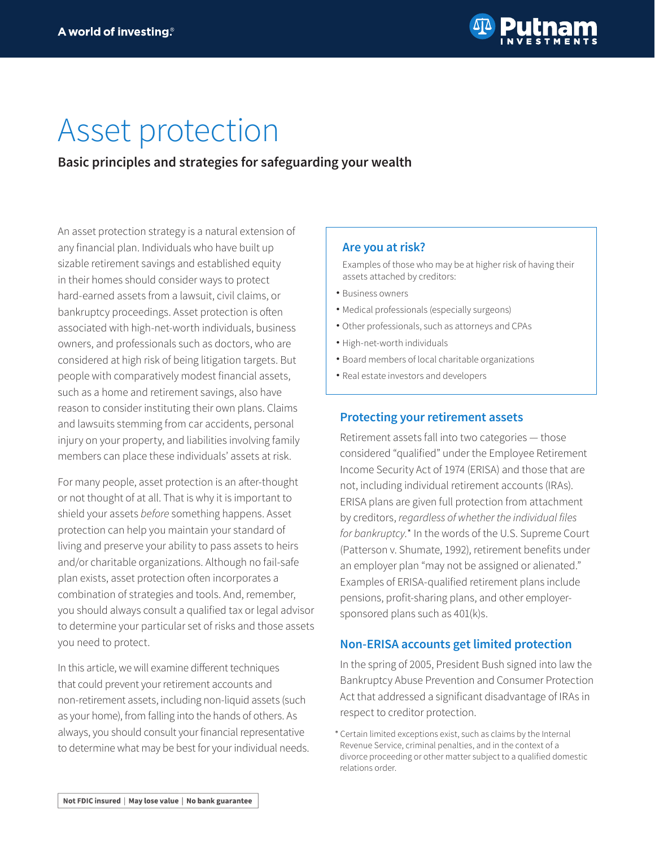

# Asset protection

# **Basic principles and strategies for safeguarding your wealth**

An asset protection strategy is a natural extension of any financial plan. Individuals who have built up sizable retirement savings and established equity in their homes should consider ways to protect hard-earned assets from a lawsuit, civil claims, or bankruptcy proceedings. Asset protection is often associated with high-net-worth individuals, business owners, and professionals such as doctors, who are considered at high risk of being litigation targets. But people with comparatively modest financial assets, such as a home and retirement savings, also have reason to consider instituting their own plans. Claims and lawsuits stemming from car accidents, personal injury on your property, and liabilities involving family members can place these individuals' assets at risk.

For many people, asset protection is an after-thought or not thought of at all. That is why it is important to shield your assets *before* something happens. Asset protection can help you maintain your standard of living and preserve your ability to pass assets to heirs and/or charitable organizations. Although no fail-safe plan exists, asset protection often incorporates a combination of strategies and tools. And, remember, you should always consult a qualified tax or legal advisor to determine your particular set of risks and those assets you need to protect.

In this article, we will examine different techniques that could prevent your retirement accounts and non-retirement assets, including non-liquid assets (such as your home), from falling into the hands of others. As always, you should consult your financial representative to determine what may be best for your individual needs.

## **Are you at risk?**

Examples of those who may be at higher risk of having their assets attached by creditors:

- •Business owners
- •Medical professionals (especially surgeons)
- •Other professionals, such as attorneys and CPAs
- •High-net-worth individuals
- •Board members of local charitable organizations
- •Real estate investors and developers

## **Protecting your retirement assets**

Retirement assets fall into two categories — those considered "qualified" under the Employee Retirement Income Security Act of 1974 (ERISA) and those that are not, including individual retirement accounts (IRAs). ERISA plans are given full protection from attachment by creditors, regardless of whether the individual files *for bankruptcy.*\* In the words of the U.S. Supreme Court (Patterson v. Shumate, 1992), retirement benefits under an employer plan "may not be assigned or alienated." Examples of ERISA-qualified retirement plans include pensions, profit-sharing plans, and other employersponsored plans such as 401(k)s.

## **Non-ERISA accounts get limited protection**

In the spring of 2005, President Bush signed into law the Bankruptcy Abuse Prevention and Consumer Protection Act that addressed a significant disadvantage of IRAs in respect to creditor protection.

1Certain limited exceptions exist, such as claims by the Internal Revenue Service, criminal penalties, and in the context of a divorce proceeding or other matter subject to a qualified domestic relations order.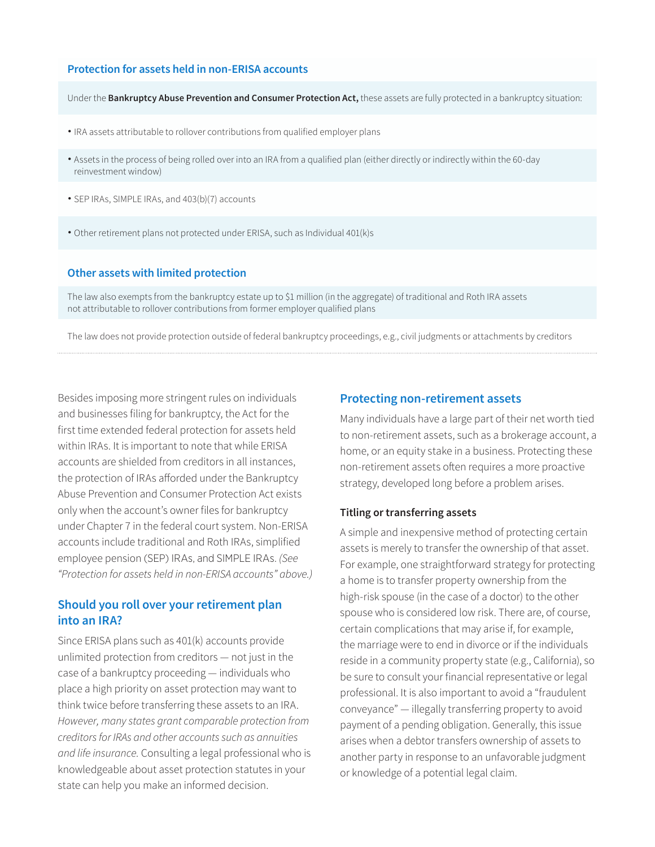#### **Protection for assets held in non-ERISA accounts**

Under the **Bankruptcy Abuse Prevention and Consumer Protection Act,** these assets are fully protected in a bankruptcy situation:

- •IRA assets attributable to rollover contributions from qualified employer plans
- •Assets in the process of being rolled over into an IRA from a qualified plan (either directly or indirectly within the 60‑day reinvestment window)
- •SEP IRAs, SIMPLE IRAs, and 403(b)(7) accounts
- •Other retirement plans not protected under ERISA, such as Individual 401(k)s

#### **Other assets with limited protection**

The law also exempts from the bankruptcy estate up to \$1 million (in the aggregate) of traditional and Roth IRA assets not attributable to rollover contributions from former employer qualified plans

The law does not provide protection outside of federal bankruptcy proceedings, e.g., civil judgments or attachments by creditors

Besides imposing more stringent rules on individuals and businesses filing for bankruptcy, the Act for the first time extended federal protection for assets held within IRAs. It is important to note that while ERISA accounts are shielded from creditors in all instances, the protection of IRAs afforded under the Bankruptcy Abuse Prevention and Consumer Protection Act exists only when the account's owner files for bankruptcy under Chapter 7 in the federal court system. Non-ERISA accounts include traditional and Roth IRAs, simplified employee pension (SEP) IRAs, and SIMPLE IRAs. *(See "Protection for assets held in non-ERISA accounts" above.)*

## **Should you roll over your retirement plan into an IRA?**

Since ERISA plans such as 401(k) accounts provide unlimited protection from creditors — not just in the case of a bankruptcy proceeding — individuals who place a high priority on asset protection may want to think twice before transferring these assets to an IRA. *However, many states grant comparable protection from creditors for IRAs and other accounts such as annuities and life insurance.* Consulting a legal professional who is knowledgeable about asset protection statutes in your state can help you make an informed decision.

#### **Protecting non-retirement assets**

Many individuals have a large part of their net worth tied to non-retirement assets, such as a brokerage account, a home, or an equity stake in a business. Protecting these non-retirement assets often requires a more proactive strategy, developed long before a problem arises.

#### **Titling or transferring assets**

A simple and inexpensive method of protecting certain assets is merely to transfer the ownership of that asset. For example, one straightforward strategy for protecting a home is to transfer property ownership from the high-risk spouse (in the case of a doctor) to the other spouse who is considered low risk. There are, of course, certain complications that may arise if, for example, the marriage were to end in divorce or if the individuals reside in a community property state (e.g., California), so be sure to consult your financial representative or legal professional. It is also important to avoid a "fraudulent conveyance" — illegally transferring property to avoid payment of a pending obligation. Generally, this issue arises when a debtor transfers ownership of assets to another party in response to an unfavorable judgment or knowledge of a potential legal claim.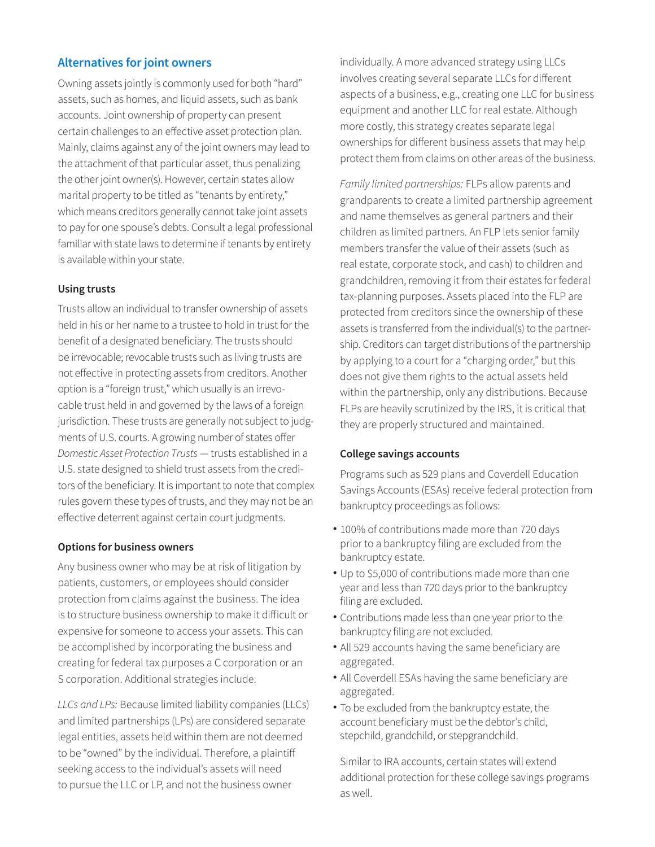## **Alternatives for joint owners**

Owning assets jointly is commonly used for both "hard" assets, such as homes, and liquid assets, such as bank accounts. Joint ownership of property can present certain challenges to an effective asset protection plan. Mainly, claims against any of the joint owners may lead to the attachment of that particular asset, thus penalizing the other joint owner(s). However, certain states allow marital property to be titled as "tenants by entirety," which means creditors generally cannot take joint assets to pay for one spouse's debts. Consult a legal professional familiar with state laws to determine if tenants by entirety is available within your state.

## **Using trusts**

Trusts allow an individual to transfer ownership of assets held in his or her name to a trustee to hold in trust for the benefit of a designated beneficiary. The trusts should be irrevocable; revocable trusts such as living trusts are not effective in protecting assets from creditors. Another option is a "foreign trust," which usually is an irrevocable trust held in and governed by the laws of a foreign jurisdiction. These trusts are generally not subject to judgments of U.S. courts. A growing number of states offer *Domestic Asset Protection Trusts* — trusts established in a U.S. state designed to shield trust assets from the creditors of the beneficiary. It is important to note that complex rules govern these types of trusts, and they may not be an effective deterrent against certain court judgments.

## **Options for business owners**

Any business owner who may be at risk of litigation by patients, customers, or employees should consider protection from claims against the business. The idea is to structure business ownership to make it difficult or expensive for someone to access your assets. This can be accomplished by incorporating the business and creating for federal tax purposes a C corporation or an S corporation. Additional strategies include:

*LLCs and LPs:* Because limited liability companies (LLCs) and limited partnerships (LPs) are considered separate legal entities, assets held within them are not deemed to be "owned" by the individual. Therefore, a plaintiff seeking access to the individual's assets will need to pursue the LLC or LP, and not the business owner

individually. A more advanced strategy using LLCs involves creating several separate LLCs for different aspects of a business, e.g., creating one LLC for business equipment and another LLC for real estate. Although more costly, this strategy creates separate legal ownerships for different business assets that may help protect them from claims on other areas of the business.

*Family limited partnerships:* FLPs allow parents and grandparents to create a limited partnership agreement and name themselves as general partners and their children as limited partners. An FLP lets senior family members transfer the value of their assets (such as real estate, corporate stock, and cash) to children and grandchildren, removing it from their estates for federal tax-planning purposes. Assets placed into the FLP are protected from creditors since the ownership of these assets is transferred from the individual(s) to the partnership. Creditors can target distributions of the partnership by applying to a court for a "charging order," but this does not give them rights to the actual assets held within the partnership, only any distributions. Because FLPs are heavily scrutinized by the IRS, it is critical that they are properly structured and maintained.

## **College savings accounts**

Programs such as 529 plans and Coverdell Education Savings Accounts (ESAs) receive federal protection from bankruptcy proceedings as follows:

- •100% of contributions made more than 720 days prior to a bankruptcy filing are excluded from the bankruptcy estate.
- •Up to \$5,000 of contributions made more than one year and less than 720 days prior to the bankruptcy filing are excluded.
- •Contributions made less than one year prior to the bankruptcy filing are not excluded.
- •All 529 accounts having the same beneficiary are aggregated.
- •All Coverdell ESAs having the same beneficiary are aggregated.
- •To be excluded from the bankruptcy estate, the account beneficiary must be the debtor's child, stepchild, grandchild, or stepgrandchild.

Similar to IRA accounts, certain states will extend additional protection for these college savings programs as well.